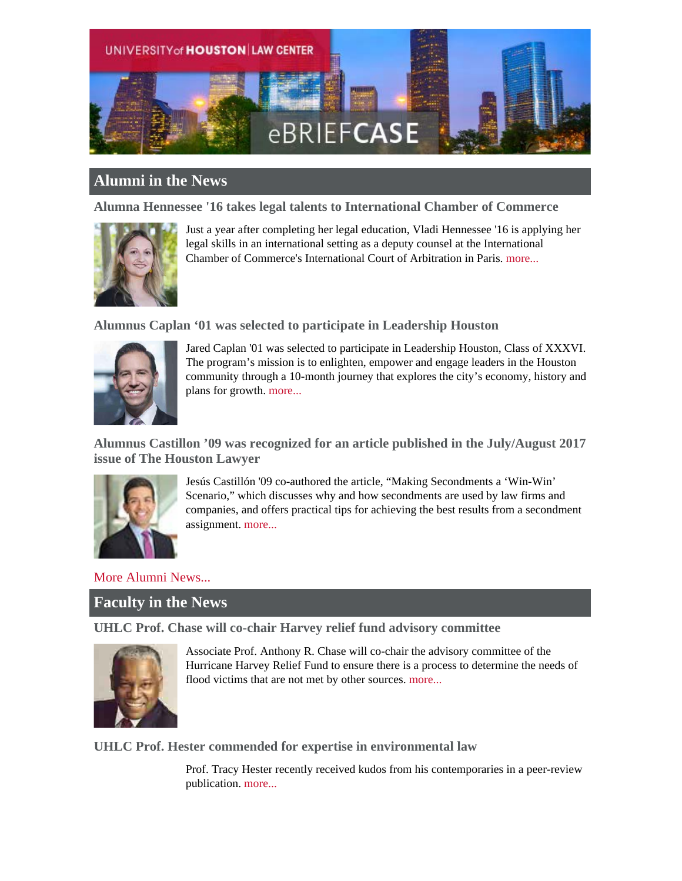

# **Alumni in the News**

**Alumna Hennessee '16 takes legal talents to International Chamber of Commerce**



Just a year after completing her legal education, Vladi Hennessee '16 is applying her legal skills in an international setting as a deputy counsel at the International Chamber of Commerce's International Court of Arbitration in Paris. [more...](http://law.uh.edu/news/fall2017/Hennessee.asp)

### **Alumnus Caplan '01 was selected to participate in Leadership Houston**



Jared Caplan '01 was selected to participate in Leadership Houston, Class of XXXVI. The program's mission is to enlighten, empower and engage leaders in the Houston community through a 10-month journey that explores the city's economy, history and plans for growth. [more...](https://www.bradley.com/insights/news/2017/08/bradley-partner-jared-caplan-selected-for-leadership-houston-class-of-xxxvi)

**Alumnus Castillon '09 was recognized for an article published in the July/August 2017 issue of The Houston Lawyer**



Jesús Castillón '09 co-authored the article, "Making Secondments a 'Win-Win' Scenario," which discusses why and how secondments are used by law firms and companies, and offers practical tips for achieving the best results from a secondment assignment. [more...](https://www.bakerlaw.com/articles/jess-castilln-article-outlines-best-practices-for-secondments?utm_source=dlvr.it&utm_medium=linkedincompanies)

[More Alumni News...](http://www.law.uh.edu/alumni/alumni-in-the-news.asp)

## **Faculty in the News**

**UHLC Prof. Chase will co-chair Harvey relief fund advisory committee**



Associate Prof. Anthony R. Chase will co-chair the advisory committee of the Hurricane Harvey Relief Fund to ensure there is a process to determine the needs of flood victims that are not met by other sources. [more...](http://law.uh.edu/news/fall2017/0912Chase.asp)

**UHLC Prof. Hester commended for expertise in environmental law**

Prof. Tracy Hester recently received kudos from his contemporaries in a peer-review publication. [more...](http://law.uh.edu/news/fall2017/0906Hester.asp)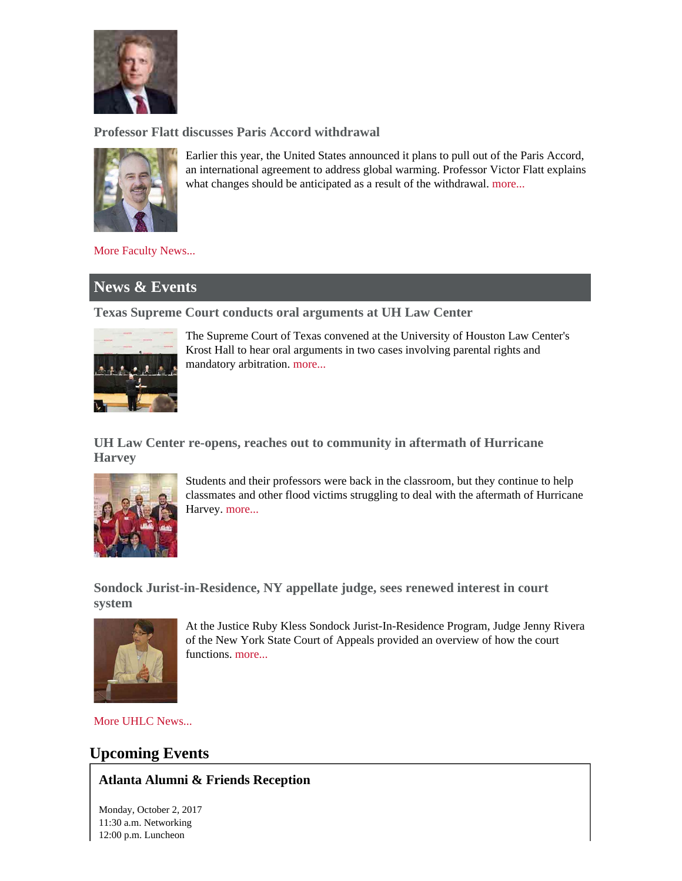

**Professor Flatt discusses Paris Accord withdrawal**



Earlier this year, the United States announced it plans to pull out of the Paris Accord, an international agreement to address global warming. Professor Victor Flatt explains what changes should be anticipated as a result of the withdrawal. [more...](http://www.houstonpublicmedia.org/articles/shows/briefcase/2017/08/08/229364/briefcase-paris-accord-withdrawal/)

[More Faculty News...](http://www.law.uh.edu/news/uhlc-in-the-news.asp)

# **News & Events**

**Texas Supreme Court conducts oral arguments at UH Law Center**



The Supreme Court of Texas convened at the University of Houston Law Center's Krost Hall to hear oral arguments in two cases involving parental rights and mandatory arbitration. [more...](http://law.uh.edu/news/fall2017/0917SCOTEX.asp)

**UH Law Center re-opens, reaches out to community in aftermath of Hurricane Harvey**



Students and their professors were back in the classroom, but they continue to help classmates and other flood victims struggling to deal with the aftermath of Hurricane Harvey. [more...](http://law.uh.edu/news/fall2017/0914harvey.asp)

**Sondock Jurist-in-Residence, NY appellate judge, sees renewed interest in court system**



At the Justice Ruby Kless Sondock Jurist-In-Residence Program, Judge Jenny Rivera of the New York State Court of Appeals provided an overview of how the court functions. [more...](http://law.uh.edu/news/fall2017/0925Sondock.asp)

[More UHLC News...](http://www.law.uh.edu/news/homepage.asp)

# **Upcoming Events**

## **Atlanta Alumni & Friends Reception**

Monday, October 2, 2017 11:30 a.m. Networking 12:00 p.m. Luncheon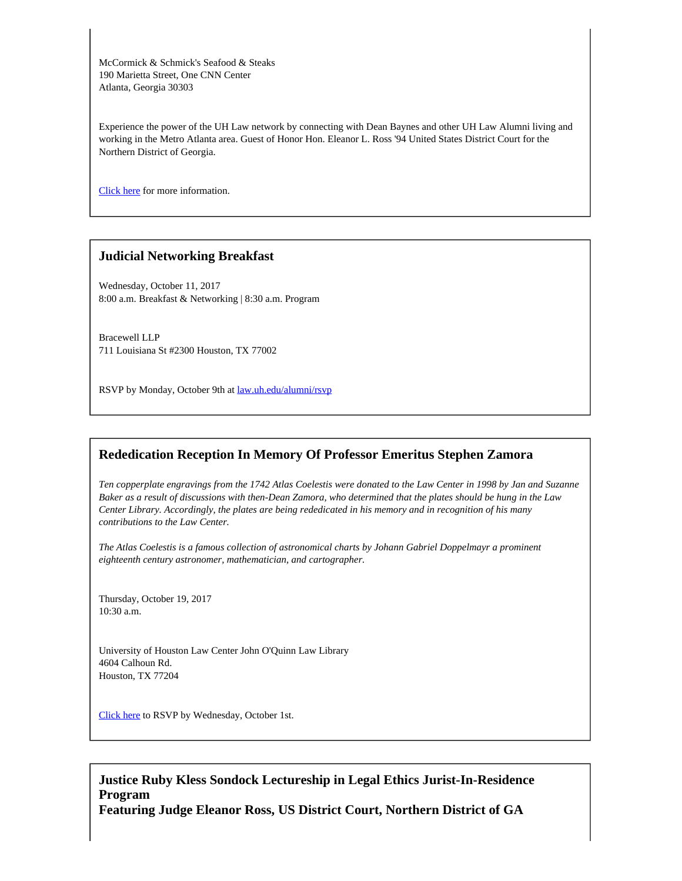McCormick & Schmick's Seafood & Steaks 190 Marietta Street, One CNN Center Atlanta, Georgia 30303

Experience the power of the UH Law network by connecting with Dean Baynes and other UH Law Alumni living and working in the Metro Atlanta area. Guest of Honor Hon. Eleanor L. Ross '94 United States District Court for the Northern District of Georgia.

[Click here](http://www.law.uh.edu/alumni/calendar/2017-1002.asp) for more information.

#### **Judicial Networking Breakfast**

Wednesday, October 11, 2017 8:00 a.m. Breakfast & Networking | 8:30 a.m. Program

Bracewell LLP 711 Louisiana St #2300 Houston, TX 77002

RSVP by Monday, October 9th at [law.uh.edu/alumni/rsvp](https://www.law.uh.edu/alumni/rsvp/)

#### **Rededication Reception In Memory Of Professor Emeritus Stephen Zamora**

*Ten copperplate engravings from the 1742 Atlas Coelestis were donated to the Law Center in 1998 by Jan and Suzanne Baker as a result of discussions with then-Dean Zamora, who determined that the plates should be hung in the Law Center Library. Accordingly, the plates are being rededicated in his memory and in recognition of his many contributions to the Law Center.*

*The Atlas Coelestis is a famous collection of astronomical charts by Johann Gabriel Doppelmayr a prominent eighteenth century astronomer, mathematician, and cartographer.*

Thursday, October 19, 2017 10:30 a.m.

University of Houston Law Center John O'Quinn Law Library 4604 Calhoun Rd. Houston, TX 77204

[Click here](http://www.law.uh.edu/alumni/rsvp/) to RSVP by Wednesday, October 1st.

## **Justice Ruby Kless Sondock Lectureship in Legal Ethics Jurist-In-Residence Program**

**Featuring Judge Eleanor Ross, US District Court, Northern District of GA**